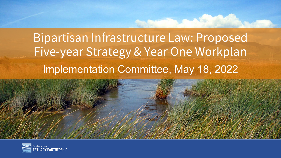### Bipartisan Infrastructure Law: Proposed Five-year Strategy & Year One Workplan Implementation Committee, May 18, 2022

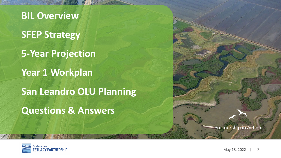**BIL Overview SFEP Strategy 5-Year Projection Year 1 Workplan San Leandro OLU Planning Questions & Answers**



**Partnership in Action**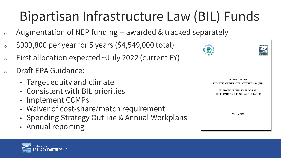# Bipartisan Infrastructure Law (BIL) Funds

- <sup>o</sup> Augmentation of NEP funding -- awarded & tracked separately
- $\degree$  \$909,800 per year for 5 years (\$4,549,000 total)
- $\circ$  First allocation expected ~July 2022 (current FY)
- Draft EPA Guidance:
	- Target equity and climate
	- Consistent with BIL priorities
	- Implement CCMPs
	- Waiver of cost-share/match requirement
	- Spending Strategy Outline & Annual Workplans
	- Annual reporting



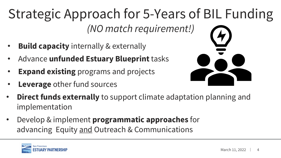## Strategic Approach for 5-Years of BIL Funding *(NO match requirement!)*

- **Build capacity** internally & externally
- Advance **unfunded Estuary Blueprint** tasks
- **Expand existing** programs and projects
- **Leverage** other fund sources



- **Direct funds externally** to support climate adaptation planning and implementation
- Develop & implement **programmatic approaches** for advancing Equity and Outreach & Communications

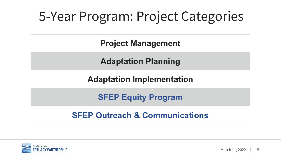## 5-Year Program: Project Categories

**Project Management**

**Adaptation Planning**

**Adaptation Implementation**

**SFEP Equity Program**

#### **SFEP Outreach & Communications**

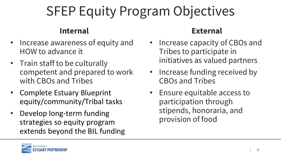# SFEP Equity Program Objectives

#### **Internal**

- Increase awareness of equity and HOW to advance it
- Train staff to be culturally competent and prepared to work with CBOs and Tribes
- Complete Estuary Blueprint equity/community/Tribal tasks
- Develop long-term funding strategies so equity program extends beyond the BIL funding

#### **External**

- Increase capacity of CBOs and Tribes to participate in initiatives as valued partners
- Increase funding received by CBOs and Tribes
- Ensure equitable access to participation through stipends, honoraria, and provision of food

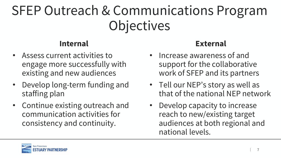## SFEP Outreach & Communications Program **Objectives**

#### **Internal**

- Assess current activities to engage more successfully with existing and new audiences
- Develop long-term funding and staffing plan
- Continue existing outreach and communication activities for consistency and continuity.

#### **External**

- Increase awareness of and support for the collaborative work of SFEP and its partners
- Tell our NEP's story as well as that of the national NEP network
- Develop capacity to increase reach to new/existing target audiences at both regional and national levels.

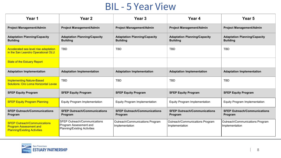### BIL - 5 Year View

| Year 1                                                                                                      | Year <sub>2</sub>                                                                                    | Year <sub>3</sub>                                      | Year 4                                                 | Year 5                                                 |
|-------------------------------------------------------------------------------------------------------------|------------------------------------------------------------------------------------------------------|--------------------------------------------------------|--------------------------------------------------------|--------------------------------------------------------|
| <b>Project Management/Admin</b>                                                                             | <b>Project Management/Admin</b>                                                                      | <b>Project Management/Admin</b>                        | <b>Project Management/Admin</b>                        | <b>Project Management/Admin</b>                        |
| <b>Adaptation Planning/Capacity</b><br><b>Building</b>                                                      | <b>Adaptation Planning/Capacity</b><br><b>Building</b>                                               | <b>Adaptation Planning/Capacity</b><br><b>Building</b> | <b>Adaptation Planning/Capacity</b><br><b>Building</b> | <b>Adaptation Planning/Capacity</b><br><b>Building</b> |
| Accelerated sea level rise adaptation<br>in the San Leandro Operational OLU                                 | <b>TBD</b>                                                                                           | <b>TBD</b>                                             | <b>TBD</b>                                             | <b>TBD</b>                                             |
| <b>State of the Estuary Report</b>                                                                          |                                                                                                      |                                                        |                                                        |                                                        |
| <b>Adaptation Implementation</b>                                                                            | <b>Adaptation Implementation</b>                                                                     | <b>Adaptation Implementation</b>                       | <b>Adaptation Implementation</b>                       | <b>Adaptation Implementation</b>                       |
| <b>Implementing Nature-Based</b><br><b>Solutions: Oro Loma Horizontal Levee</b>                             | <b>TBD</b>                                                                                           | <b>TBD</b>                                             | <b>TBD</b>                                             | <b>TBD</b>                                             |
| <b>SFEP Equity Program</b>                                                                                  | <b>SFEP Equity Program</b>                                                                           | <b>SFEP Equity Program</b>                             | <b>SFEP Equity Program</b>                             | <b>SFEP Equity Program</b>                             |
| <b>SFEP Equity Program Planning</b>                                                                         | <b>Equity Program Implementation</b>                                                                 | <b>Equity Program Implementation</b>                   | <b>Equity Program Implementation</b>                   | <b>Equity Program Implementation</b>                   |
| <b>SFEP Outreach/Communications</b><br>Program                                                              | <b>SFEP Outreach/Communications</b><br>Program                                                       | <b>SFEP Outreach/Communications</b><br>Program         | <b>SFEP Outreach/Communications</b><br>Program         | <b>SFEP Outreach/Communications</b><br>Program         |
| <b>SFEP Outreach/Communications</b><br><b>Program Assessment and</b><br><b>Planning/Existing Activities</b> | <b>SFEP Outreach/Communications</b><br>Program Assessment and<br><b>Planning/Existing Activities</b> | Outreach/Communications Program<br>Implementation      | Outreach/Communications Program<br>Implementation      | Outreach/Communications Program<br>Implementation      |

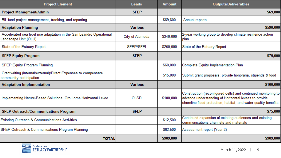| <b>Project Element</b>                                                                       | Leads            | <b>Amount</b> | <b>Outputs/Deliverables</b>                                                                                                                                                                |
|----------------------------------------------------------------------------------------------|------------------|---------------|--------------------------------------------------------------------------------------------------------------------------------------------------------------------------------------------|
| <b>Project Managment/Admin</b>                                                               | <b>SFEP</b>      |               | \$69,800                                                                                                                                                                                   |
| BIL fund project management, tracking, and reporting                                         |                  | \$69,800      | Annual reports                                                                                                                                                                             |
| <b>Adaptation Planning</b>                                                                   | <b>Various</b>   |               | \$590,000                                                                                                                                                                                  |
| Accelerated sea level rise adaptation in the San Leandro Operational<br>Landscape Unit (OLU) | City of Alameda  | \$340,000     | 2-year working group to develop climate resilience action<br><b>Iplan</b>                                                                                                                  |
| State of the Estuary Report                                                                  | <b>SFEP/SFEI</b> | \$250,000     | State of the Estuary Report                                                                                                                                                                |
| <b>SFEP Equity Program</b>                                                                   | <b>SFEP</b>      |               | \$75,000                                                                                                                                                                                   |
| <b>SFEP Equity Program Planning</b>                                                          |                  | \$60,000      | Complete Equity Implementation Plan                                                                                                                                                        |
| Grantwriting (internal/external)/Direct Expenses to compensate<br>community participation    |                  | \$15,000      | Submit grant proposals; provide honoraria, stipends & food                                                                                                                                 |
| <b>Adaptation Implementation</b>                                                             | <b>Various</b>   |               | \$100,000                                                                                                                                                                                  |
| Implementing Nature-Based Solutions: Oro Loma Horizontal Levee                               | <b>OLSD</b>      | \$100,000     | Construction (reconfigured cells) and continued monitoring to<br>advance understanding of Horizontal levees to provide<br>shoreline flood protection, habitat, and water quality benefits. |
| <b>SFEP Outreach/Communications Program</b>                                                  | <b>SFEP</b>      |               | \$75,000                                                                                                                                                                                   |
| Existing Outreach & Communications Activities                                                |                  | \$12,500      | Continued expansion of existing audiences and existing<br>communications channels and materials                                                                                            |
| SFEP Outreach & Communications Program Planning                                              |                  | \$62,500      | Assessment report (Year 2)                                                                                                                                                                 |
| <b>TOTAL</b>                                                                                 |                  | \$909,800     | \$909,800                                                                                                                                                                                  |

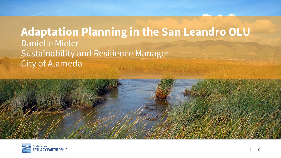### **Adaptation Planning in the San Leandro OLU** Danielle Mieler Sustainability and Resilience Manager City of Alameda